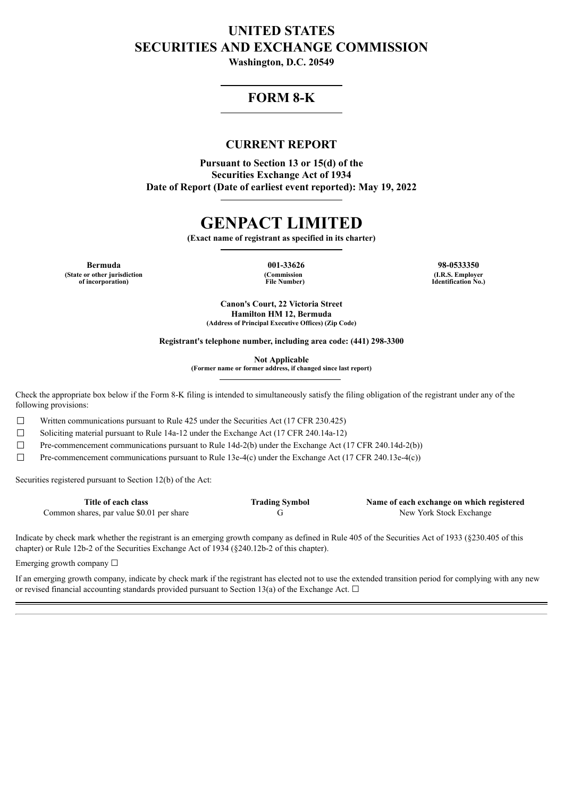# **UNITED STATES SECURITIES AND EXCHANGE COMMISSION**

**Washington, D.C. 20549**

## **FORM 8-K**

## **CURRENT REPORT**

**Pursuant to Section 13 or 15(d) of the Securities Exchange Act of 1934 Date of Report (Date of earliest event reported): May 19, 2022**

# **GENPACT LIMITED**

**(Exact name of registrant as specified in its charter)**

**Bermuda 001-33626 98-0533350 (State or other jurisdiction of incorporation)**

**(Commission File Number)**

**(I.R.S. Employer Identification No.)**

**Canon's Court, 22 Victoria Street Hamilton HM 12, Bermuda (Address of Principal Executive Offices) (Zip Code)**

**Registrant's telephone number, including area code: (441) 298-3300**

**Not Applicable (Former name or former address, if changed since last report)**

Check the appropriate box below if the Form 8-K filing is intended to simultaneously satisfy the filing obligation of the registrant under any of the following provisions:

 $\Box$  Written communications pursuant to Rule 425 under the Securities Act (17 CFR 230.425)

 $\Box$  Soliciting material pursuant to Rule 14a-12 under the Exchange Act (17 CFR 240.14a-12)

 $\Box$  Pre-commencement communications pursuant to Rule 14d-2(b) under the Exchange Act (17 CFR 240.14d-2(b))

☐ Pre-commencement communications pursuant to Rule 13e-4(c) under the Exchange Act (17 CFR 240.13e-4(c))

Securities registered pursuant to Section 12(b) of the Act:

| Title of each class                       | <b>Trading Symbol</b> | Name of each exchange on which registered |
|-------------------------------------------|-----------------------|-------------------------------------------|
| Common shares, par value \$0.01 per share |                       | New York Stock Exchange                   |

Indicate by check mark whether the registrant is an emerging growth company as defined in Rule 405 of the Securities Act of 1933 (§230.405 of this chapter) or Rule 12b-2 of the Securities Exchange Act of 1934 (§240.12b-2 of this chapter).

Emerging growth company  $\Box$ 

If an emerging growth company, indicate by check mark if the registrant has elected not to use the extended transition period for complying with any new or revised financial accounting standards provided pursuant to Section 13(a) of the Exchange Act.  $\Box$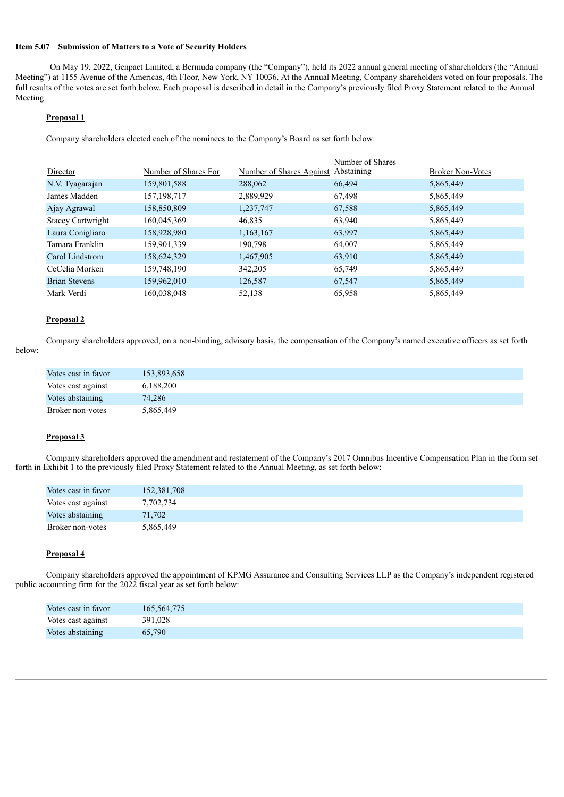#### **Item 5.07 Submission of Matters to a Vote of Security Holders**

On May 19, 2022, Genpact Limited, a Bermuda company (the "Company"), held its 2022 annual general meeting of shareholders (the "Annual Meeting") at 1155 Avenue of the Americas, 4th Floor, New York, NY 10036. At the Annual Meeting, Company shareholders voted on four proposals. The full results of the votes are set forth below. Each proposal is described in detail in the Company's previously filed Proxy Statement related to the Annual Meeting.

#### **Proposal 1**

Company shareholders elected each of the nominees to the Company's Board as set forth below:

|                          |                      |                          | Number of Shares  |                         |
|--------------------------|----------------------|--------------------------|-------------------|-------------------------|
| Director                 | Number of Shares For | Number of Shares Against | <b>Abstaining</b> | <b>Broker Non-Votes</b> |
| N.V. Tyagarajan          | 159,801,588          | 288,062                  | 66,494            | 5,865,449               |
| James Madden             | 157, 198, 717        | 2,889,929                | 67,498            | 5,865,449               |
| Ajay Agrawal             | 158,850,809          | 1,237,747                | 67,588            | 5,865,449               |
| <b>Stacey Cartwright</b> | 160,045,369          | 46,835                   | 63,940            | 5,865,449               |
| Laura Conigliaro         | 158,928,980          | 1,163,167                | 63,997            | 5,865,449               |
| Tamara Franklin          | 159,901,339          | 190,798                  | 64,007            | 5,865,449               |
| Carol Lindstrom          | 158,624,329          | 1,467,905                | 63,910            | 5,865,449               |
| CeCelia Morken           | 159,748,190          | 342,205                  | 65,749            | 5,865,449               |
| <b>Brian Stevens</b>     | 159,962,010          | 126,587                  | 67,547            | 5,865,449               |
| Mark Verdi               | 160,038,048          | 52,138                   | 65,958            | 5,865,449               |
|                          |                      |                          |                   |                         |

#### **Proposal 2**

Company shareholders approved, on a non-binding, advisory basis, the compensation of the Company's named executive officers as set forth below:

| Votes cast in favor | 153,893,658 |  |  |
|---------------------|-------------|--|--|
| Votes cast against  | 6,188,200   |  |  |
| Votes abstaining    | 74.286      |  |  |
| Broker non-votes    | 5,865,449   |  |  |

#### **Proposal 3**

Company shareholders approved the amendment and restatement of the Company's 2017 Omnibus Incentive Compensation Plan in the form set forth in Exhibit 1 to the previously filed Proxy Statement related to the Annual Meeting, as set forth below:

| Votes cast in favor | 152,381,708 |
|---------------------|-------------|
| Votes cast against  | 7,702,734   |
| Votes abstaining    | 71,702      |
| Broker non-votes    | 5,865,449   |

#### **Proposal 4**

Company shareholders approved the appointment of KPMG Assurance and Consulting Services LLP as the Company's independent registered public accounting firm for the 2022 fiscal year as set forth below:

| Votes cast in favor | 165,564,775 |
|---------------------|-------------|
| Votes cast against  | 391,028     |
| Votes abstaining    | 65,790      |